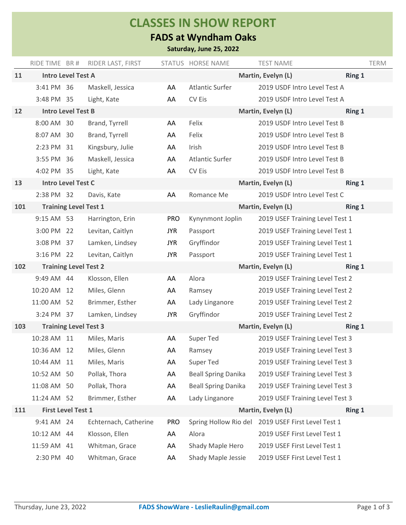## **CLASSES IN SHOW REPORT**

## **FADS at Wyndham Oaks**

**Saturday, June 25, 2022**

|     | RIDE TIME BR #               | RIDER LAST, FIRST     |            | STATUS HORSE NAME          | <b>TEST NAME</b>                |        | <b>TERM</b> |
|-----|------------------------------|-----------------------|------------|----------------------------|---------------------------------|--------|-------------|
| 11  | <b>Intro Level Test A</b>    |                       |            |                            | Martin, Evelyn (L)              | Ring 1 |             |
|     | 3:41 PM 36                   | Maskell, Jessica      | AA         | Atlantic Surfer            | 2019 USDF Intro Level Test A    |        |             |
|     | 3:48 PM 35                   | Light, Kate           | AA         | CV Eis                     | 2019 USDF Intro Level Test A    |        |             |
| 12  | <b>Intro Level Test B</b>    |                       |            |                            | Martin, Evelyn (L)              | Ring 1 |             |
|     | 8:00 AM 30                   | Brand, Tyrrell        | AA         | Felix                      | 2019 USDF Intro Level Test B    |        |             |
|     | 8:07 AM 30                   | Brand, Tyrrell        | AA         | Felix                      | 2019 USDF Intro Level Test B    |        |             |
|     | 2:23 PM 31                   | Kingsbury, Julie      | AA         | Irish                      | 2019 USDF Intro Level Test B    |        |             |
|     | 3:55 PM 36                   | Maskell, Jessica      | AA         | Atlantic Surfer            | 2019 USDF Intro Level Test B    |        |             |
|     | 4:02 PM 35                   | Light, Kate           | AA         | CV Eis                     | 2019 USDF Intro Level Test B    |        |             |
| 13  | <b>Intro Level Test C</b>    |                       |            |                            | Martin, Evelyn (L)              | Ring 1 |             |
|     | 2:38 PM 32                   | Davis, Kate           | AA         | Romance Me                 | 2019 USDF Intro Level Test C    |        |             |
| 101 | <b>Training Level Test 1</b> |                       |            |                            | Martin, Evelyn (L)              | Ring 1 |             |
|     | 9:15 AM 53                   | Harrington, Erin      | <b>PRO</b> | Kynynmont Joplin           | 2019 USEF Training Level Test 1 |        |             |
|     | 3:00 PM 22                   | Levitan, Caitlyn      | <b>JYR</b> | Passport                   | 2019 USEF Training Level Test 1 |        |             |
|     | 3:08 PM 37                   | Lamken, Lindsey       | <b>JYR</b> | Gryffindor                 | 2019 USEF Training Level Test 1 |        |             |
|     | 3:16 PM 22                   | Levitan, Caitlyn      | <b>JYR</b> | Passport                   | 2019 USEF Training Level Test 1 |        |             |
| 102 | <b>Training Level Test 2</b> |                       |            |                            | Martin, Evelyn (L)              | Ring 1 |             |
|     | 9:49 AM 44                   | Klosson, Ellen        | AA         | Alora                      | 2019 USEF Training Level Test 2 |        |             |
|     | 10:20 AM 12                  | Miles, Glenn          | AA         | Ramsey                     | 2019 USEF Training Level Test 2 |        |             |
|     | 11:00 AM 52                  | Brimmer, Esther       | AA         | Lady Linganore             | 2019 USEF Training Level Test 2 |        |             |
|     | 3:24 PM 37                   | Lamken, Lindsey       | <b>JYR</b> | Gryffindor                 | 2019 USEF Training Level Test 2 |        |             |
| 103 | <b>Training Level Test 3</b> |                       |            |                            | Martin, Evelyn (L)              | Ring 1 |             |
|     | 10:28 AM 11                  | Miles, Maris          | AA         | Super Ted                  | 2019 USEF Training Level Test 3 |        |             |
|     | 10:36 AM 12                  | Miles, Glenn          | AA         | Ramsey                     | 2019 USEF Training Level Test 3 |        |             |
|     | 10:44 AM 11                  | Miles, Maris          | AA         | Super Ted                  | 2019 USEF Training Level Test 3 |        |             |
|     | 10:52 AM 50                  | Pollak, Thora         | AA         | <b>Beall Spring Danika</b> | 2019 USEF Training Level Test 3 |        |             |
|     | 11:08 AM 50                  | Pollak, Thora         | AA         | <b>Beall Spring Danika</b> | 2019 USEF Training Level Test 3 |        |             |
|     | 11:24 AM 52                  | Brimmer, Esther       | AA         | Lady Linganore             | 2019 USEF Training Level Test 3 |        |             |
| 111 | <b>First Level Test 1</b>    |                       |            |                            | Martin, Evelyn (L)              | Ring 1 |             |
|     | 9:41 AM 24                   | Echternach, Catherine | <b>PRO</b> | Spring Hollow Rio del      | 2019 USEF First Level Test 1    |        |             |
|     | 10:12 AM 44                  | Klosson, Ellen        | AA         | Alora                      | 2019 USEF First Level Test 1    |        |             |
|     | 11:59 AM 41                  | Whitman, Grace        | AA         | Shady Maple Hero           | 2019 USEF First Level Test 1    |        |             |
|     | 2:30 PM 40                   | Whitman, Grace        | AA         | Shady Maple Jessie         | 2019 USEF First Level Test 1    |        |             |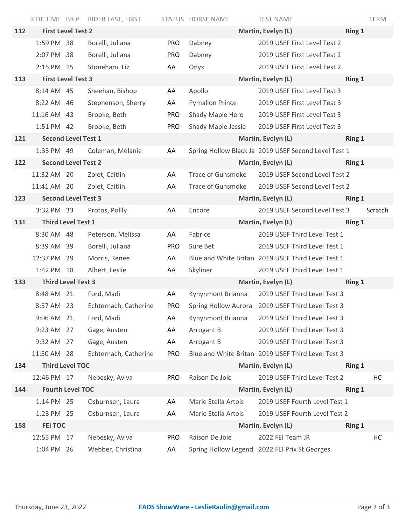|     | RIDE TIME BR #             |                            | RIDER LAST, FIRST                   |                    | STATUS HORSE NAME        | <b>TEST NAME</b>                                                  |        | <b>TERM</b> |
|-----|----------------------------|----------------------------|-------------------------------------|--------------------|--------------------------|-------------------------------------------------------------------|--------|-------------|
| 112 | <b>First Level Test 2</b>  |                            |                                     |                    | Martin, Evelyn (L)       |                                                                   |        | Ring 1      |
|     | 1:59 PM 38                 |                            | Borelli, Juliana                    | <b>PRO</b>         | Dabney                   | 2019 USEF First Level Test 2                                      |        |             |
|     | 2:07 PM 38                 |                            | Borelli, Juliana                    | <b>PRO</b>         | Dabney                   | 2019 USEF First Level Test 2                                      |        |             |
|     | 2:15 PM 15                 |                            | Stoneham, Liz                       | AA                 | Onyx                     | 2019 USEF First Level Test 2                                      |        |             |
| 113 |                            | <b>First Level Test 3</b>  |                                     |                    |                          | Martin, Evelyn (L)                                                | Ring 1 |             |
|     | 8:14 AM 45                 |                            | Sheehan, Bishop                     | AA                 | Apollo                   | 2019 USEF First Level Test 3                                      |        |             |
|     | 8:22 AM 46                 |                            | Stephenson, Sherry                  | AA                 | <b>Pymalion Prince</b>   | 2019 USEF First Level Test 3                                      |        |             |
|     | 11:16 AM 43                |                            | Brooke, Beth                        | <b>PRO</b>         | Shady Maple Hero         | 2019 USEF First Level Test 3                                      |        |             |
|     | 1:51 PM 42                 |                            | Brooke, Beth                        | <b>PRO</b>         | Shady Maple Jessie       | 2019 USEF First Level Test 3                                      |        |             |
| 121 | <b>Second Level Test 1</b> |                            |                                     |                    |                          | Martin, Evelyn (L)                                                | Ring 1 |             |
|     | 1:33 PM 49                 |                            | Coleman, Melanie                    | AA                 |                          | Spring Hollow Black Ja 2019 USEF Second Level Test 1              |        |             |
| 122 | <b>Second Level Test 2</b> |                            |                                     | Martin, Evelyn (L) |                          | Ring 1                                                            |        |             |
|     | 11:32 AM 20                |                            | Zolet, Caitlin                      | AA                 | <b>Trace of Gunsmoke</b> | 2019 USEF Second Level Test 2                                     |        |             |
|     | 11:41 AM 20                |                            | Zolet, Caitlin                      | AA                 | Trace of Gunsmoke        | 2019 USEF Second Level Test 2                                     |        |             |
| 123 |                            | <b>Second Level Test 3</b> |                                     |                    |                          | Martin, Evelyn (L)                                                | Ring 1 |             |
|     | 3:32 PM 33                 |                            | Protos, Pollly                      | AA                 | Encore                   | 2019 USEF Second Level Test 3                                     |        | Scratch     |
| 131 | <b>Third Level Test 1</b>  |                            |                                     | Martin, Evelyn (L) |                          | Ring 1                                                            |        |             |
|     | 8:30 AM 48                 |                            | Peterson, Melissa                   | AA                 | Fabrice                  | 2019 USEF Third Level Test 1                                      |        |             |
|     | 8:39 AM 39                 |                            | Borelli, Juliana                    | <b>PRO</b>         | Sure Bet                 | 2019 USEF Third Level Test 1                                      |        |             |
|     | 12:37 PM 29                |                            | Morris, Renee                       | AA                 |                          | Blue and White Britan 2019 USEF Third Level Test 1                |        |             |
|     | 1:42 PM 18                 |                            | Albert, Leslie                      | AA                 | Skyliner                 | 2019 USEF Third Level Test 1                                      |        |             |
| 133 | <b>Third Level Test 3</b>  |                            |                                     |                    | Martin, Evelyn (L)       |                                                                   |        |             |
|     |                            |                            |                                     |                    |                          |                                                                   | Ring 1 |             |
|     | 8:48 AM 21                 |                            | Ford, Madi                          | AA                 | Kynynmont Brianna        | 2019 USEF Third Level Test 3                                      |        |             |
|     | 8:57 AM 23                 |                            | Echternach, Catherine               | <b>PRO</b>         |                          | Spring Hollow Aurora 2019 USEF Third Level Test 3                 |        |             |
|     | 9:06 AM 21                 |                            | Ford, Madi                          | AA                 | Kynynmont Brianna        | 2019 USEF Third Level Test 3                                      |        |             |
|     | 9:23 AM 27                 |                            | Gage, Austen                        | AA                 | Arrogant B               | 2019 USEF Third Level Test 3                                      |        |             |
|     | 9:32 AM 27                 |                            | Gage, Austen                        | AA                 | Arrogant B               | 2019 USEF Third Level Test 3                                      |        |             |
|     | 11:50 AM 28                |                            | Echternach, Catherine               | <b>PRO</b>         |                          | Blue and White Britan 2019 USEF Third Level Test 3                |        |             |
| 134 |                            | <b>Third Level TOC</b>     |                                     |                    |                          | Martin, Evelyn (L)                                                | Ring 1 |             |
|     | 12:46 PM 17                |                            | Nebesky, Aviva                      | <b>PRO</b>         | Raison De Joie           | 2019 USEF Third Level Test 2                                      |        | HC          |
| 144 |                            | <b>Fourth Level TOC</b>    |                                     |                    |                          | Martin, Evelyn (L)                                                | Ring 1 |             |
|     | 1:14 PM 25                 |                            | Osburnsen, Laura                    | AA                 | Marie Stella Artois      | 2019 USEF Fourth Level Test 1                                     |        |             |
|     | 1:23 PM 25                 |                            | Osburnsen, Laura                    | AA                 | Marie Stella Artois      | 2019 USEF Fourth Level Test 2                                     |        |             |
| 158 | <b>FEI TOC</b>             |                            |                                     |                    |                          | Martin, Evelyn (L)                                                | Ring 1 |             |
|     | 12:55 PM 17<br>1:04 PM 26  |                            | Nebesky, Aviva<br>Webber, Christina | <b>PRO</b><br>AA   | Raison De Joie           | 2022 FEI Team JR<br>Spring Hollow Legend 2022 FEI Prix St Georges |        | HC          |